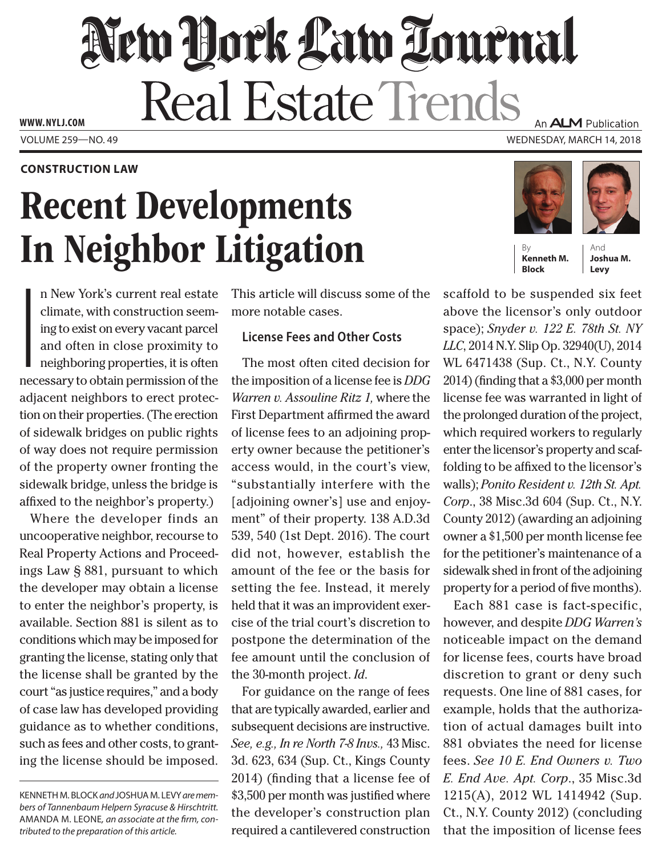# New Dock Law Tournal Real Estate Trends

Volume 259—NO. 49 Wednesday, March 14, 2018 **www. NYLJ.com**

#### **Construction Law**

# Recent Developments In Neighbor Litigation

**I**<br>I<br>nec n New York's current real estate climate, with construction seeming to exist on every vacant parcel and often in close proximity to neighboring properties, it is often necessary to obtain permission of the adjacent neighbors to erect protection on their properties. (The erection of sidewalk bridges on public rights of way does not require permission of the property owner fronting the sidewalk bridge, unless the bridge is affixed to the neighbor's property.)

Where the developer finds an uncooperative neighbor, recourse to Real Property Actions and Proceedings Law § 881, pursuant to which the developer may obtain a license to enter the neighbor's property, is available. Section 881 is silent as to conditions which may be imposed for granting the license, stating only that the license shall be granted by the court "as justice requires," and a body of case law has developed providing guidance as to whether conditions, such as fees and other costs, to granting the license should be imposed.

This article will discuss some of the more notable cases.

## **License Fees and Other Costs**

The most often cited decision for the imposition of a license fee is *DDG Warren v. Assouline Ritz 1,* where the First Department affirmed the award of license fees to an adjoining property owner because the petitioner's access would, in the court's view, "substantially interfere with the [adjoining owner's] use and enjoyment" of their property. 138 A.D.3d 539, 540 (1st Dept. 2016). The court did not, however, establish the amount of the fee or the basis for setting the fee. Instead, it merely held that it was an improvident exercise of the trial court's discretion to postpone the determination of the fee amount until the conclusion of the 30-month project. *Id*.

For guidance on the range of fees that are typically awarded, earlier and subsequent decisions are instructive. *See, e.g., In re North 7-8 Invs.,* 43 Misc. 3d. 623, 634 (Sup. Ct., Kings County 2014) (finding that a license fee of \$3,500 per month was justified where the developer's construction plan required a cantilevered construction



**Kenneth M. Block**

And **Joshua M. Levy**

scaffold to be suspended six feet above the licensor's only outdoor space); *Snyder v. 122 E. 78th St. NY LLC*, 2014 N.Y. Slip Op. 32940(U), 2014 WL 6471438 (Sup. Ct., N.Y. County 2014) (finding that a \$3,000 per month license fee was warranted in light of the prolonged duration of the project, which required workers to regularly enter the licensor's property and scaffolding to be affixed to the licensor's walls); *Ponito Resident v. 12th St. Apt. Corp*., 38 Misc.3d 604 (Sup. Ct., N.Y. County 2012) (awarding an adjoining owner a \$1,500 per month license fee for the petitioner's maintenance of a sidewalk shed in front of the adjoining property for a period of five months).

Each 881 case is fact-specific, however, and despite *DDG Warren's*  noticeable impact on the demand for license fees, courts have broad discretion to grant or deny such requests. One line of 881 cases, for example, holds that the authorization of actual damages built into 881 obviates the need for license fees. *See 10 E. End Owners v. Two E. End Ave. Apt. Corp*., 35 Misc.3d 1215(A), 2012 WL 1414942 (Sup. Ct., N.Y. County 2012) (concluding that the imposition of license fees



Kenneth M. Block *and* Joshua M. Levy *are members of Tannenbaum Helpern Syracuse & Hirschtritt.*  Amanda M. Leone*, an associate at the firm, contributed to the preparation of this article.*